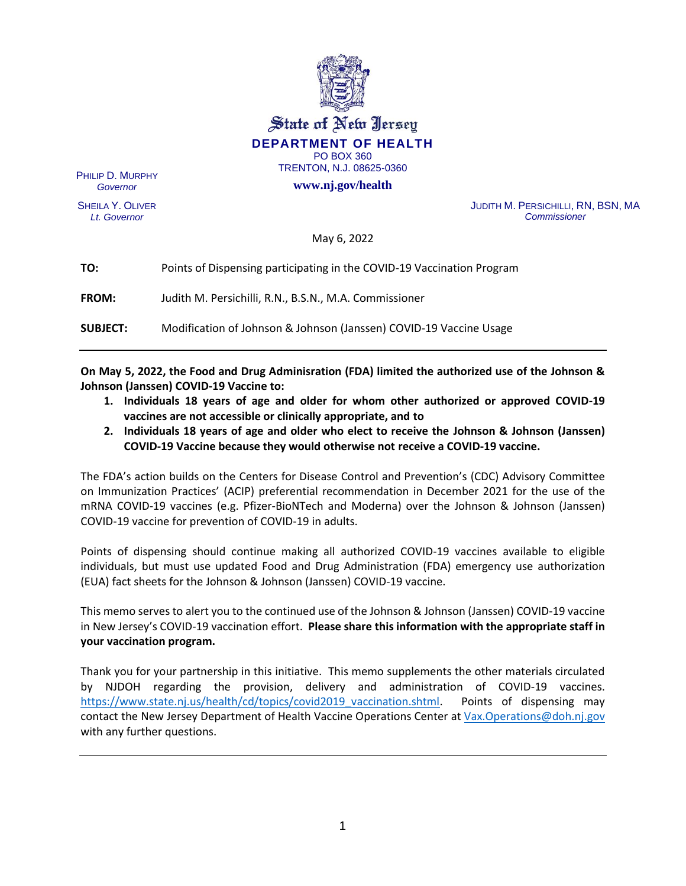

State of New Jersey **DEPARTMENT OF HEALTH** PO BOX 360

TRENTON, N.J. 08625-0360

**www.nj.gov/health**

PHILIP D. MURPHY *Governor*

SHEILA Y. OLIVER *Lt. Governor*

JUDITH M. PERSICHILLI, RN, BSN, MA *Commissioner*

May 6, 2022

| TO:             | Points of Dispensing participating in the COVID-19 Vaccination Program |
|-----------------|------------------------------------------------------------------------|
| <b>FROM:</b>    | Judith M. Persichilli, R.N., B.S.N., M.A. Commissioner                 |
| <b>SUBJECT:</b> | Modification of Johnson & Johnson (Janssen) COVID-19 Vaccine Usage     |

**On May 5, 2022, the Food and Drug Adminisration (FDA) limited the authorized use of the Johnson & Johnson (Janssen) COVID-19 Vaccine to:**

- **1. Individuals 18 years of age and older for whom other authorized or approved COVID-19 vaccines are not accessible or clinically appropriate, and to**
- **2. Individuals 18 years of age and older who elect to receive the Johnson & Johnson (Janssen) COVID-19 Vaccine because they would otherwise not receive a COVID-19 vaccine.**

The FDA's action builds on the Centers for Disease Control and Prevention's (CDC) Advisory Committee on Immunization Practices' (ACIP) preferential recommendation in December 2021 for the use of the mRNA COVID-19 vaccines (e.g. Pfizer-BioNTech and Moderna) over the Johnson & Johnson (Janssen) COVID-19 vaccine for prevention of COVID-19 in adults.

Points of dispensing should continue making all authorized COVID-19 vaccines available to eligible individuals, but must use updated Food and Drug Administration (FDA) emergency use authorization (EUA) fact sheets for the Johnson & Johnson (Janssen) COVID-19 vaccine.

This memo serves to alert you to the continued use of the Johnson & Johnson (Janssen) COVID-19 vaccine in New Jersey's COVID-19 vaccination effort. **Please share this information with the appropriate staff in your vaccination program.** 

Thank you for your partnership in this initiative. This memo supplements the other materials circulated by NJDOH regarding the provision, delivery and administration of COVID-19 vaccines. [https://www.state.nj.us/health/cd/topics/covid2019\\_vaccination.shtml.](https://www.state.nj.us/health/cd/topics/covid2019_vaccination.shtml) Points of dispensing may contact the New Jersey Department of Health Vaccine Operations Center at [Vax.Operations@doh.nj.gov](mailto:Vax.Operations@doh.nj.gov) with any further questions.